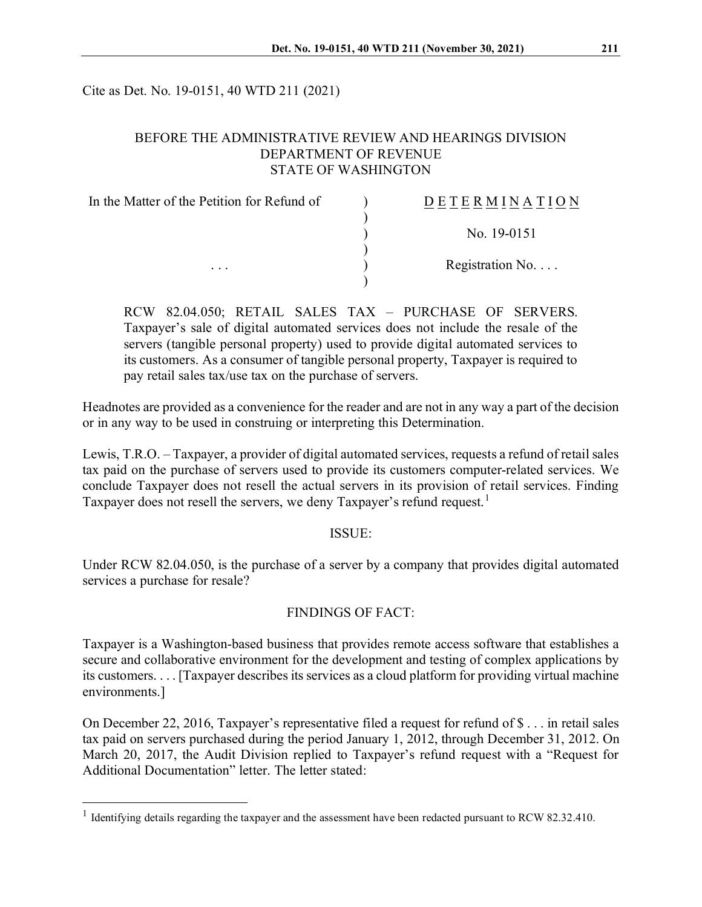Cite as Det. No. 19-0151, 40 WTD 211 (2021)

## BEFORE THE ADMINISTRATIVE REVIEW AND HEARINGS DIVISION DEPARTMENT OF REVENUE STATE OF WASHINGTON

| In the Matter of the Petition for Refund of | <b>DETERMINATION</b>     |
|---------------------------------------------|--------------------------|
|                                             | No. 19-0151              |
| $\cdots$                                    | Registration No. $\dots$ |
|                                             |                          |

RCW 82.04.050; RETAIL SALES TAX – PURCHASE OF SERVERS. Taxpayer's sale of digital automated services does not include the resale of the servers (tangible personal property) used to provide digital automated services to its customers. As a consumer of tangible personal property, Taxpayer is required to pay retail sales tax/use tax on the purchase of servers.

Headnotes are provided as a convenience for the reader and are not in any way a part of the decision or in any way to be used in construing or interpreting this Determination.

Lewis, T.R.O. – Taxpayer, a provider of digital automated services, requests a refund of retail sales tax paid on the purchase of servers used to provide its customers computer-related services. We conclude Taxpayer does not resell the actual servers in its provision of retail services. Finding Taxpayer does not resell the servers, we deny Taxpayer's refund request.<sup>[1](#page-0-0)</sup>

## ISSUE:

Under RCW 82.04.050, is the purchase of a server by a company that provides digital automated services a purchase for resale?

# FINDINGS OF FACT:

Taxpayer is a Washington-based business that provides remote access software that establishes a secure and collaborative environment for the development and testing of complex applications by its customers. . . . [Taxpayer describes its services as a cloud platform for providing virtual machine environments.]

On December 22, 2016, Taxpayer's representative filed a request for refund of \$ . . . in retail sales tax paid on servers purchased during the period January 1, 2012, through December 31, 2012. On March 20, 2017, the Audit Division replied to Taxpayer's refund request with a "Request for Additional Documentation" letter. The letter stated:

<span id="page-0-0"></span><sup>&</sup>lt;sup>1</sup> Identifying details regarding the taxpayer and the assessment have been redacted pursuant to RCW 82.32.410.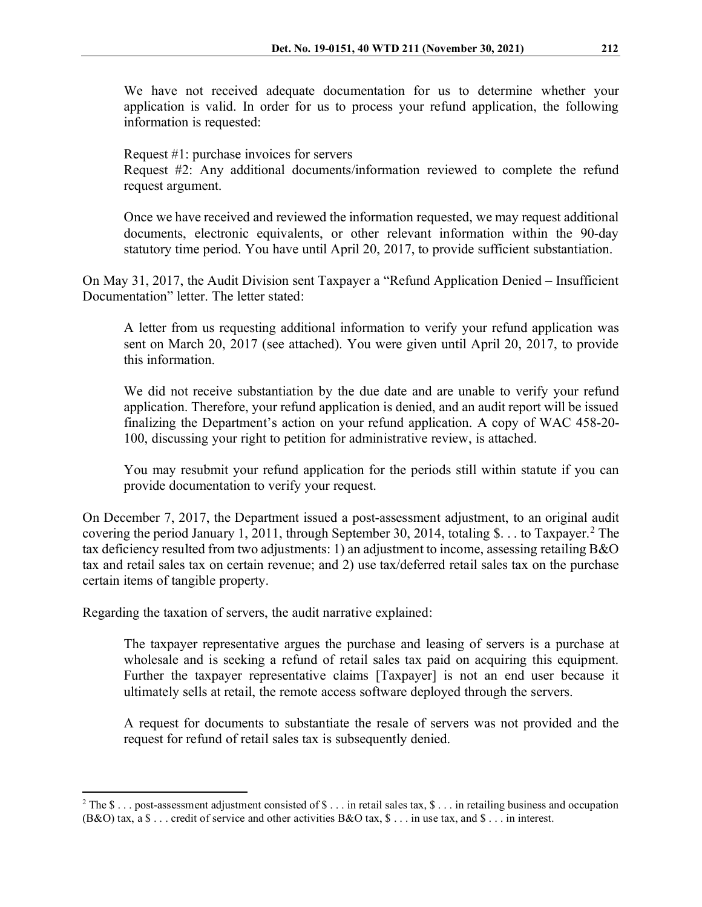We have not received adequate documentation for us to determine whether your application is valid. In order for us to process your refund application, the following information is requested:

Request #1: purchase invoices for servers

Request #2: Any additional documents/information reviewed to complete the refund request argument.

Once we have received and reviewed the information requested, we may request additional documents, electronic equivalents, or other relevant information within the 90-day statutory time period. You have until April 20, 2017, to provide sufficient substantiation.

On May 31, 2017, the Audit Division sent Taxpayer a "Refund Application Denied – Insufficient Documentation" letter. The letter stated:

A letter from us requesting additional information to verify your refund application was sent on March 20, 2017 (see attached). You were given until April 20, 2017, to provide this information.

We did not receive substantiation by the due date and are unable to verify your refund application. Therefore, your refund application is denied, and an audit report will be issued finalizing the Department's action on your refund application. A copy of WAC 458-20- 100, discussing your right to petition for administrative review, is attached.

You may resubmit your refund application for the periods still within statute if you can provide documentation to verify your request.

On December 7, 2017, the Department issued a post-assessment adjustment, to an original audit covering the period January 1, [2](#page-1-0)011, through September 30, 2014, totaling \$... to Taxpayer.<sup>2</sup> The tax deficiency resulted from two adjustments: 1) an adjustment to income, assessing retailing B&O tax and retail sales tax on certain revenue; and 2) use tax/deferred retail sales tax on the purchase certain items of tangible property.

Regarding the taxation of servers, the audit narrative explained:

The taxpayer representative argues the purchase and leasing of servers is a purchase at wholesale and is seeking a refund of retail sales tax paid on acquiring this equipment. Further the taxpayer representative claims [Taxpayer] is not an end user because it ultimately sells at retail, the remote access software deployed through the servers.

A request for documents to substantiate the resale of servers was not provided and the request for refund of retail sales tax is subsequently denied.

<span id="page-1-0"></span> $2$  The \$ . . . post-assessment adjustment consisted of \$ . . . in retail sales tax, \$ . . . in retailing business and occupation (B&O) tax, a  $\$\ldots$  credit of service and other activities B&O tax,  $\$\ldots$  in use tax, and  $\$\ldots$  in interest.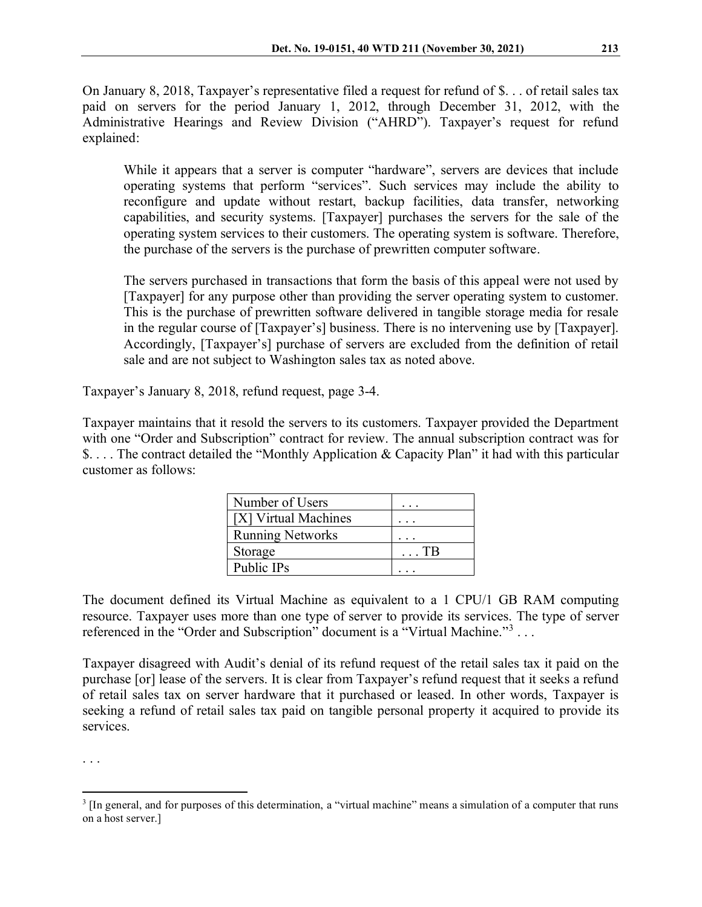On January 8, 2018, Taxpayer's representative filed a request for refund of \$. . . of retail sales tax paid on servers for the period January 1, 2012, through December 31, 2012, with the Administrative Hearings and Review Division ("AHRD"). Taxpayer's request for refund explained:

While it appears that a server is computer "hardware", servers are devices that include operating systems that perform "services". Such services may include the ability to reconfigure and update without restart, backup facilities, data transfer, networking capabilities, and security systems. [Taxpayer] purchases the servers for the sale of the operating system services to their customers. The operating system is software. Therefore, the purchase of the servers is the purchase of prewritten computer software.

The servers purchased in transactions that form the basis of this appeal were not used by [Taxpayer] for any purpose other than providing the server operating system to customer. This is the purchase of prewritten software delivered in tangible storage media for resale in the regular course of [Taxpayer's] business. There is no intervening use by [Taxpayer]. Accordingly, [Taxpayer's] purchase of servers are excluded from the definition of retail sale and are not subject to Washington sales tax as noted above.

Taxpayer's January 8, 2018, refund request, page 3-4.

Taxpayer maintains that it resold the servers to its customers. Taxpayer provided the Department with one "Order and Subscription" contract for review. The annual subscription contract was for \$. . . . The contract detailed the "Monthly Application & Capacity Plan" it had with this particular customer as follows:

| Number of Users         |             |
|-------------------------|-------------|
| [X] Virtual Machines    |             |
| <b>Running Networks</b> |             |
| Storage                 | $\ldots$ TB |
| Public IPs              |             |

The document defined its Virtual Machine as equivalent to a 1 CPU/1 GB RAM computing resource. Taxpayer uses more than one type of server to provide its services. The type of server referenced in the "Order and Subscription" document is a "Virtual Machine."<sup>[3](#page-2-0)</sup>...

Taxpayer disagreed with Audit's denial of its refund request of the retail sales tax it paid on the purchase [or] lease of the servers. It is clear from Taxpayer's refund request that it seeks a refund of retail sales tax on server hardware that it purchased or leased. In other words, Taxpayer is seeking a refund of retail sales tax paid on tangible personal property it acquired to provide its services.

. . .

<span id="page-2-0"></span><sup>&</sup>lt;sup>3</sup> [In general, and for purposes of this determination, a "virtual machine" means a simulation of a computer that runs on a host server.]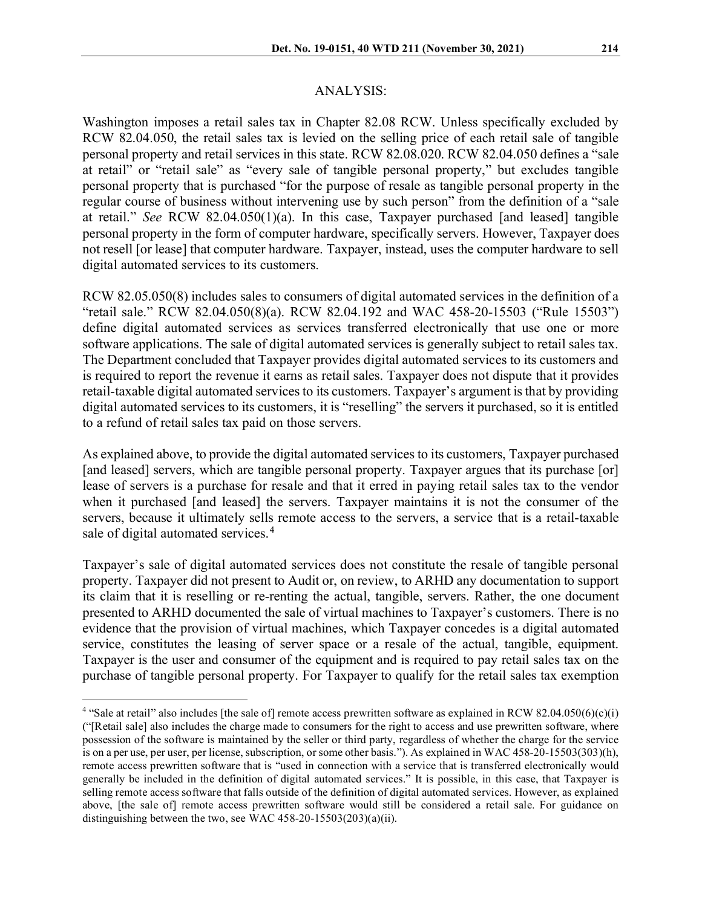#### ANALYSIS:

Washington imposes a retail sales tax in Chapter 82.08 RCW. Unless specifically excluded by RCW 82.04.050, the retail sales tax is levied on the selling price of each retail sale of tangible personal property and retail services in this state. RCW 82.08.020. RCW 82.04.050 defines a "sale at retail" or "retail sale" as "every sale of tangible personal property," but excludes tangible personal property that is purchased "for the purpose of resale as tangible personal property in the regular course of business without intervening use by such person" from the definition of a "sale at retail." *See* RCW 82.04.050(1)(a). In this case, Taxpayer purchased [and leased] tangible personal property in the form of computer hardware, specifically servers. However, Taxpayer does not resell [or lease] that computer hardware. Taxpayer, instead, uses the computer hardware to sell digital automated services to its customers.

RCW 82.05.050(8) includes sales to consumers of digital automated services in the definition of a "retail sale." RCW 82.04.050(8)(a). RCW 82.04.192 and WAC 458-20-15503 ("Rule 15503") define digital automated services as services transferred electronically that use one or more software applications. The sale of digital automated services is generally subject to retail sales tax. The Department concluded that Taxpayer provides digital automated services to its customers and is required to report the revenue it earns as retail sales. Taxpayer does not dispute that it provides retail-taxable digital automated services to its customers. Taxpayer's argument is that by providing digital automated services to its customers, it is "reselling" the servers it purchased, so it is entitled to a refund of retail sales tax paid on those servers.

As explained above, to provide the digital automated services to its customers, Taxpayer purchased [and leased] servers, which are tangible personal property. Taxpayer argues that its purchase [or] lease of servers is a purchase for resale and that it erred in paying retail sales tax to the vendor when it purchased [and leased] the servers. Taxpayer maintains it is not the consumer of the servers, because it ultimately sells remote access to the servers, a service that is a retail-taxable sale of digital automated services.<sup>[4](#page-3-0)</sup>

Taxpayer's sale of digital automated services does not constitute the resale of tangible personal property. Taxpayer did not present to Audit or, on review, to ARHD any documentation to support its claim that it is reselling or re-renting the actual, tangible, servers. Rather, the one document presented to ARHD documented the sale of virtual machines to Taxpayer's customers. There is no evidence that the provision of virtual machines, which Taxpayer concedes is a digital automated service, constitutes the leasing of server space or a resale of the actual, tangible, equipment. Taxpayer is the user and consumer of the equipment and is required to pay retail sales tax on the purchase of tangible personal property. For Taxpayer to qualify for the retail sales tax exemption

<span id="page-3-0"></span><sup>&</sup>lt;sup>4</sup> "Sale at retail" also includes [the sale of] remote access prewritten software as explained in RCW 82.04.050(6)(c)(i) ("[Retail sale] also includes the charge made to consumers for the right to access and use prewritten software, where possession of the software is maintained by the seller or third party, regardless of whether the charge for the service is on a per use, per user, per license, subscription, or some other basis."). As explained in WAC 458-20-15503(303)(h), remote access prewritten software that is "used in connection with a service that is transferred electronically would generally be included in the definition of digital automated services." It is possible, in this case, that Taxpayer is selling remote access software that falls outside of the definition of digital automated services. However, as explained above, [the sale of] remote access prewritten software would still be considered a retail sale. For guidance on distinguishing between the two, see WAC 458-20-15503(203)(a)(ii).